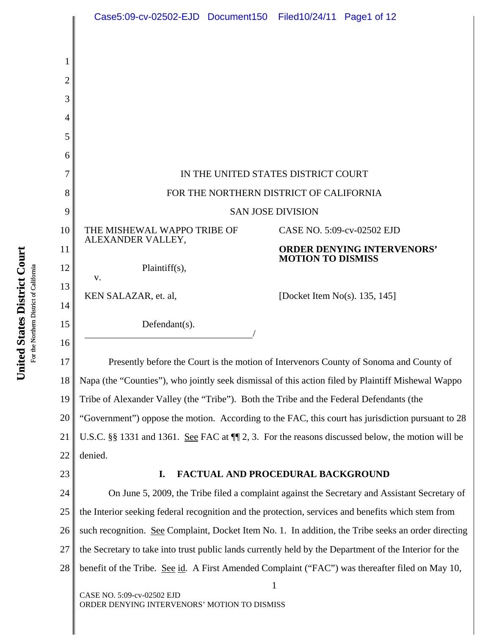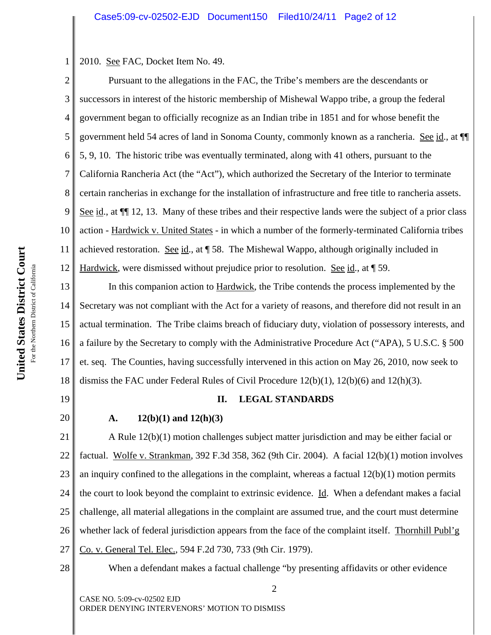2010. See FAC, Docket Item No. 49.

2 3 4 5 6 7 8 9 10 11 12 Pursuant to the allegations in the FAC, the Tribe's members are the descendants or successors in interest of the historic membership of Mishewal Wappo tribe, a group the federal government began to officially recognize as an Indian tribe in 1851 and for whose benefit the government held 54 acres of land in Sonoma County, commonly known as a rancheria. See id., at ¶¶ 5, 9, 10. The historic tribe was eventually terminated, along with 41 others, pursuant to the California Rancheria Act (the "Act"), which authorized the Secretary of the Interior to terminate certain rancherias in exchange for the installation of infrastructure and free title to rancheria assets. See id., at  $\P$  12, 13. Many of these tribes and their respective lands were the subject of a prior class action - Hardwick v. United States - in which a number of the formerly-terminated California tribes achieved restoration. See id., at ¶ 58. The Mishewal Wappo, although originally included in Hardwick, were dismissed without prejudice prior to resolution. See id., at ¶ 59.

13 14 15 16 17 18 In this companion action to **Hardwick**, the Tribe contends the process implemented by the Secretary was not compliant with the Act for a variety of reasons, and therefore did not result in an actual termination. The Tribe claims breach of fiduciary duty, violation of possessory interests, and a failure by the Secretary to comply with the Administrative Procedure Act ("APA), 5 U.S.C. § 500 et. seq. The Counties, having successfully intervened in this action on May 26, 2010, now seek to dismiss the FAC under Federal Rules of Civil Procedure  $12(b)(1)$ ,  $12(b)(6)$  and  $12(h)(3)$ .

19

20

1

## **II. LEGAL STANDARDS**

### **A. 12(b)(1) and 12(h)(3)**

21 22 23 24 25 26 27 A Rule 12(b)(1) motion challenges subject matter jurisdiction and may be either facial or factual. Wolfe v. Strankman, 392 F.3d 358, 362 (9th Cir. 2004). A facial 12(b)(1) motion involves an inquiry confined to the allegations in the complaint, whereas a factual  $12(b)(1)$  motion permits the court to look beyond the complaint to extrinsic evidence. Id. When a defendant makes a facial challenge, all material allegations in the complaint are assumed true, and the court must determine whether lack of federal jurisdiction appears from the face of the complaint itself. Thornhill Publ'g Co. v. General Tel. Elec., 594 F.2d 730, 733 (9th Cir. 1979).

28

When a defendant makes a factual challenge "by presenting affidavits or other evidence

2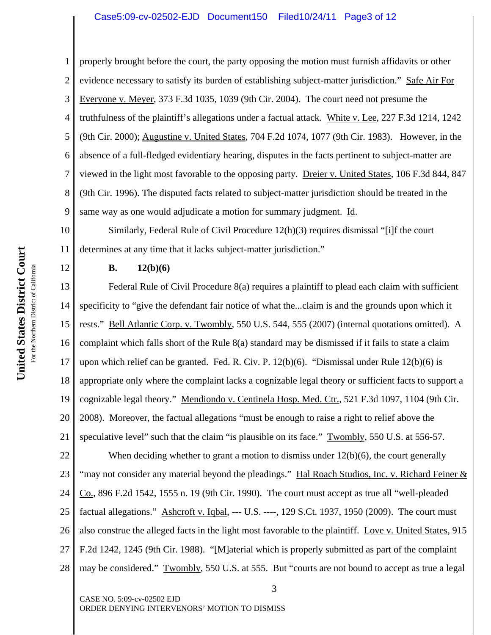### Case5:09-cv-02502-EJD Document150 Filed10/24/11 Page3 of 12

1 2 3 4 5 6 7 8 9 properly brought before the court, the party opposing the motion must furnish affidavits or other evidence necessary to satisfy its burden of establishing subject-matter jurisdiction." Safe Air For Everyone v. Meyer, 373 F.3d 1035, 1039 (9th Cir. 2004). The court need not presume the truthfulness of the plaintiff's allegations under a factual attack. White v. Lee, 227 F.3d 1214, 1242 (9th Cir. 2000); Augustine v. United States, 704 F.2d 1074, 1077 (9th Cir. 1983). However, in the absence of a full-fledged evidentiary hearing, disputes in the facts pertinent to subject-matter are viewed in the light most favorable to the opposing party. Dreier v. United States, 106 F.3d 844, 847 (9th Cir. 1996). The disputed facts related to subject-matter jurisdiction should be treated in the same way as one would adjudicate a motion for summary judgment. Id.

10 11 Similarly, Federal Rule of Civil Procedure 12(h)(3) requires dismissal "[i]f the court determines at any time that it lacks subject-matter jurisdiction."

### **B. 12(b)(6)**

13 14 15 16 17 18 19 20 21 Federal Rule of Civil Procedure 8(a) requires a plaintiff to plead each claim with sufficient specificity to "give the defendant fair notice of what the...claim is and the grounds upon which it rests." Bell Atlantic Corp. v. Twombly, 550 U.S. 544, 555 (2007) (internal quotations omitted). A complaint which falls short of the Rule 8(a) standard may be dismissed if it fails to state a claim upon which relief can be granted. Fed. R. Civ. P. 12(b)(6). "Dismissal under Rule 12(b)(6) is appropriate only where the complaint lacks a cognizable legal theory or sufficient facts to support a cognizable legal theory." Mendiondo v. Centinela Hosp. Med. Ctr., 521 F.3d 1097, 1104 (9th Cir. 2008). Moreover, the factual allegations "must be enough to raise a right to relief above the speculative level" such that the claim "is plausible on its face." Twombly, 550 U.S. at 556-57.

22 23 24 25 26 27 28 When deciding whether to grant a motion to dismiss under  $12(b)(6)$ , the court generally "may not consider any material beyond the pleadings." Hal Roach Studios, Inc. v. Richard Feiner & Co., 896 F.2d 1542, 1555 n. 19 (9th Cir. 1990). The court must accept as true all "well-pleaded factual allegations." Ashcroft v. Iqbal, --- U.S. ----, 129 S.Ct. 1937, 1950 (2009). The court must also construe the alleged facts in the light most favorable to the plaintiff. Love v. United States, 915 F.2d 1242, 1245 (9th Cir. 1988). "[M]aterial which is properly submitted as part of the complaint may be considered." Twombly, 550 U.S. at 555. But "courts are not bound to accept as true a legal

CASE NO. 5:09-cv-02502 EJD ORDER DENYING INTERVENORS' MOTION TO DISMISS

12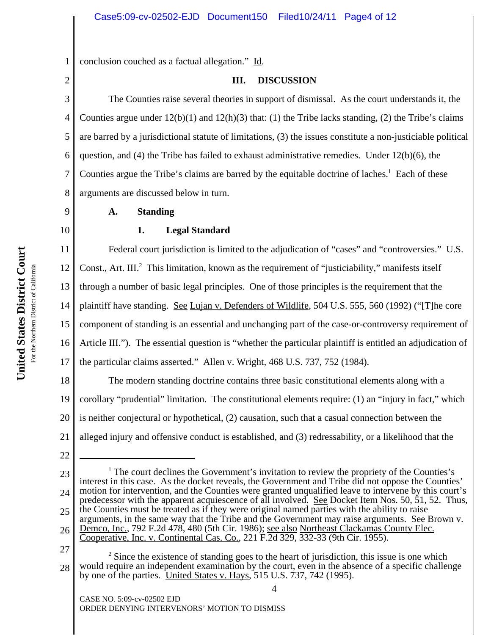1 conclusion couched as a factual allegation." Id.

### 2

### **III. DISCUSSION**

3 4 5 6 7 8 The Counties raise several theories in support of dismissal. As the court understands it, the Counties argue under  $12(b)(1)$  and  $12(h)(3)$  that: (1) the Tribe lacks standing, (2) the Tribe's claims are barred by a jurisdictional statute of limitations, (3) the issues constitute a non-justiciable political question, and  $(4)$  the Tribe has failed to exhaust administrative remedies. Under  $12(b)(6)$ , the Counties argue the Tribe's claims are barred by the equitable doctrine of laches.<sup>1</sup> Each of these arguments are discussed below in turn.

## **A. Standing**

# 10

9

## **1. Legal Standard**

11 12 13 14 15 16 17 Federal court jurisdiction is limited to the adjudication of "cases" and "controversies." U.S. Const., Art. III.<sup>2</sup> This limitation, known as the requirement of "justiciability," manifests itself through a number of basic legal principles. One of those principles is the requirement that the plaintiff have standing. See Lujan v. Defenders of Wildlife, 504 U.S. 555, 560 (1992) ("[T]he core component of standing is an essential and unchanging part of the case-or-controversy requirement of Article III."). The essential question is "whether the particular plaintiff is entitled an adjudication of the particular claims asserted." Allen v. Wright, 468 U.S. 737, 752 (1984).

18 19 20 21 The modern standing doctrine contains three basic constitutional elements along with a corollary "prudential" limitation. The constitutional elements require: (1) an "injury in fact," which is neither conjectural or hypothetical, (2) causation, such that a casual connection between the alleged injury and offensive conduct is established, and (3) redressability, or a likelihood that the

22

 $\Delta$ 

<sup>23</sup> 24 25 26 <sup>1</sup> The court declines the Government's invitation to review the propriety of the Counties's interest in this case. As the docket reveals, the Government and Tribe did not oppose the Counties' motion for intervention, and the Counties were granted unqualified leave to intervene by this court's predecessor with the apparent acquiescence of all involved. See Docket Item Nos. 50, 51, 52. Thus, the Counties must be treated as if they were original named parties with the ability to raise arguments, in the same way that the Tribe and the Government may raise arguments. See Brown v. Demco, Inc., 792 F.2d 478, 480 (5th Cir. 1986); <u>see also Northeast Clackamas County Elec.</u> Cooperative, Inc. v. Continental Cas. Co., 221 F.2d 329, 332-33 (9th Cir. 1955).

<sup>27</sup> 28  $2^2$  Since the existence of standing goes to the heart of jurisdiction, this issue is one which would require an independent examination by the court, even in the absence of a specific challenge by one of the parties. United States v. Hays, 515 U.S. 737, 742 (1995).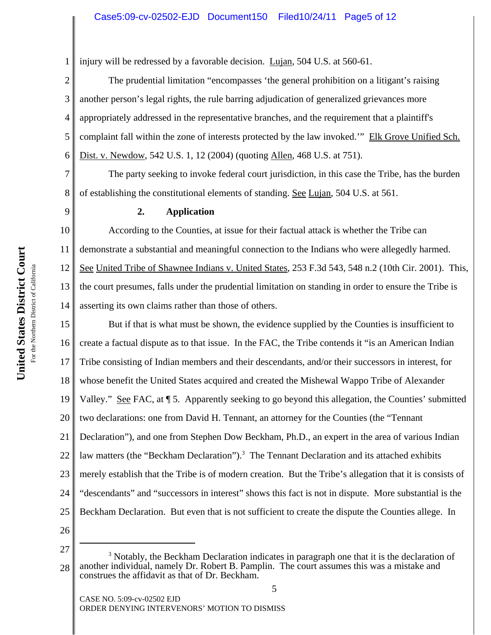1 injury will be redressed by a favorable decision. Lujan, 504 U.S. at 560-61.

2 3 4 5 6 The prudential limitation "encompasses 'the general prohibition on a litigant's raising another person's legal rights, the rule barring adjudication of generalized grievances more appropriately addressed in the representative branches, and the requirement that a plaintiff's complaint fall within the zone of interests protected by the law invoked.'" Elk Grove Unified Sch. Dist. v. Newdow, 542 U.S. 1, 12 (2004) (quoting Allen, 468 U.S. at 751).

8 The party seeking to invoke federal court jurisdiction, in this case the Tribe, has the burden of establishing the constitutional elements of standing. See Lujan, 504 U.S. at 561.

7

9

### **2. Application**

10 11 12 13 14 According to the Counties, at issue for their factual attack is whether the Tribe can demonstrate a substantial and meaningful connection to the Indians who were allegedly harmed. See United Tribe of Shawnee Indians v. United States, 253 F.3d 543, 548 n.2 (10th Cir. 2001). This, the court presumes, falls under the prudential limitation on standing in order to ensure the Tribe is asserting its own claims rather than those of others.

15 16 17 18 19 20 21 22 23 24 25 26 But if that is what must be shown, the evidence supplied by the Counties is insufficient to create a factual dispute as to that issue. In the FAC, the Tribe contends it "is an American Indian Tribe consisting of Indian members and their descendants, and/or their successors in interest, for whose benefit the United States acquired and created the Mishewal Wappo Tribe of Alexander Valley." See FAC, at ¶ 5. Apparently seeking to go beyond this allegation, the Counties' submitted two declarations: one from David H. Tennant, an attorney for the Counties (the "Tennant Declaration"), and one from Stephen Dow Beckham, Ph.D., an expert in the area of various Indian law matters (the "Beckham Declaration").<sup>3</sup> The Tennant Declaration and its attached exhibits merely establish that the Tribe is of modern creation. But the Tribe's allegation that it is consists of "descendants" and "successors in interest" shows this fact is not in dispute. More substantial is the Beckham Declaration. But even that is not sufficient to create the dispute the Counties allege. In

27

5

<sup>28</sup> <sup>3</sup> Notably, the Beckham Declaration indicates in paragraph one that it is the declaration of another individual, namely Dr. Robert B. Pamplin. The court assumes this was a mistake and construes the affidavit as that of Dr. Beckham.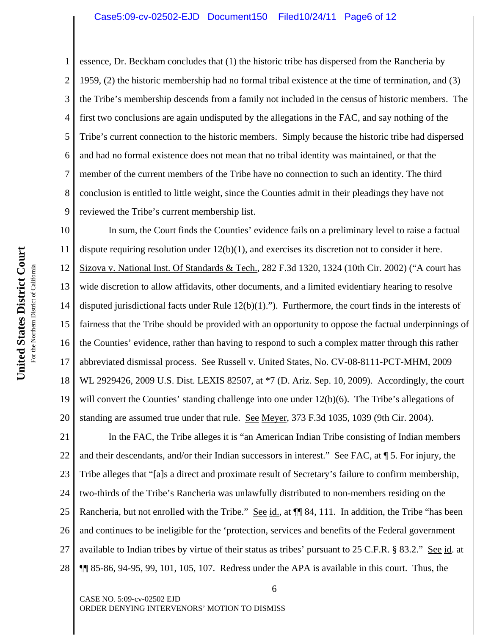1 2 3 4 5 6 7 8 9 essence, Dr. Beckham concludes that (1) the historic tribe has dispersed from the Rancheria by 1959, (2) the historic membership had no formal tribal existence at the time of termination, and (3) the Tribe's membership descends from a family not included in the census of historic members. The first two conclusions are again undisputed by the allegations in the FAC, and say nothing of the Tribe's current connection to the historic members. Simply because the historic tribe had dispersed and had no formal existence does not mean that no tribal identity was maintained, or that the member of the current members of the Tribe have no connection to such an identity. The third conclusion is entitled to little weight, since the Counties admit in their pleadings they have not reviewed the Tribe's current membership list.

10 11 12 13 14 15 16 17 18 19 20 In sum, the Court finds the Counties' evidence fails on a preliminary level to raise a factual dispute requiring resolution under  $12(b)(1)$ , and exercises its discretion not to consider it here. Sizova v. National Inst. Of Standards & Tech., 282 F.3d 1320, 1324 (10th Cir. 2002) ("A court has wide discretion to allow affidavits, other documents, and a limited evidentiary hearing to resolve disputed jurisdictional facts under Rule 12(b)(1)."). Furthermore, the court finds in the interests of fairness that the Tribe should be provided with an opportunity to oppose the factual underpinnings of the Counties' evidence, rather than having to respond to such a complex matter through this rather abbreviated dismissal process. See Russell v. United States, No. CV-08-8111-PCT-MHM, 2009 WL 2929426, 2009 U.S. Dist. LEXIS 82507, at \*7 (D. Ariz. Sep. 10, 2009). Accordingly, the court will convert the Counties' standing challenge into one under 12(b)(6). The Tribe's allegations of standing are assumed true under that rule. See Meyer, 373 F.3d 1035, 1039 (9th Cir. 2004).

21 22 23 24 25 26 27 28 In the FAC, the Tribe alleges it is "an American Indian Tribe consisting of Indian members and their descendants, and/or their Indian successors in interest." See FAC, at  $\P$  5. For injury, the Tribe alleges that "[a]s a direct and proximate result of Secretary's failure to confirm membership, two-thirds of the Tribe's Rancheria was unlawfully distributed to non-members residing on the Rancheria, but not enrolled with the Tribe." See id., at  $\P$  84, 111. In addition, the Tribe "has been and continues to be ineligible for the 'protection, services and benefits of the Federal government available to Indian tribes by virtue of their status as tribes' pursuant to 25 C.F.R. § 83.2." See id. at ¶¶ 85-86, 94-95, 99, 101, 105, 107. Redress under the APA is available in this court. Thus, the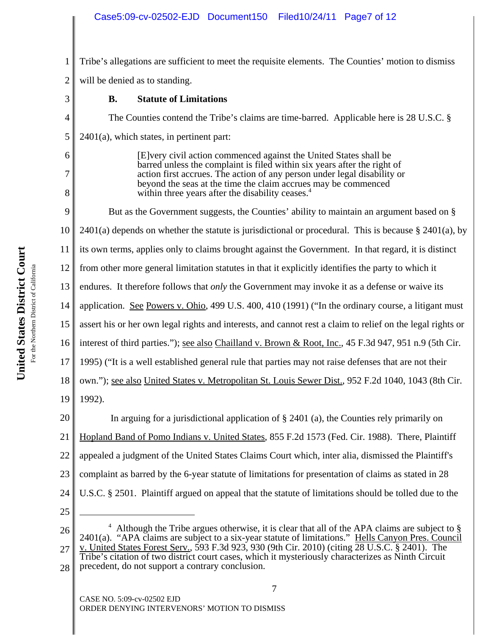1 2 Tribe's allegations are sufficient to meet the requisite elements. The Counties' motion to dismiss will be denied as to standing.

- 3 4 5 6 7 8 9 10 11 12 13 14 15 16 17 18 19 20 21 22 23 24 25 26 27 <sup>4</sup> Although the Tribe argues otherwise, it is clear that all of the APA claims are subject to § 2401(a). "APA claims are subject to a six-year statute of limitations." Hells Canyon Pres. Council v. United States Forest Serv., 593 F.3d 923, 930 (9th Cir. 2010) (citing 28 U.S.C. § 2401). The **B. Statute of Limitations** The Counties contend the Tribe's claims are time-barred. Applicable here is 28 U.S.C. § 2401(a), which states, in pertinent part: [E]very civil action commenced against the United States shall be barred unless the complaint is filed within six years after the right of action first accrues. The action of any person under legal disability or beyond the seas at the time the claim accrues may be commenced within three years after the disability ceases.<sup>4</sup> But as the Government suggests, the Counties' ability to maintain an argument based on § 2401(a) depends on whether the statute is jurisdictional or procedural. This is because  $\S$  2401(a), by its own terms, applies only to claims brought against the Government. In that regard, it is distinct from other more general limitation statutes in that it explicitly identifies the party to which it endures. It therefore follows that *only* the Government may invoke it as a defense or waive its application. See Powers v. Ohio, 499 U.S. 400, 410 (1991) ("In the ordinary course, a litigant must assert his or her own legal rights and interests, and cannot rest a claim to relief on the legal rights or interest of third parties."); see also Chailland v. Brown & Root, Inc., 45 F.3d 947, 951 n.9 (5th Cir. 1995) ("It is a well established general rule that parties may not raise defenses that are not their own."); see also United States v. Metropolitan St. Louis Sewer Dist., 952 F.2d 1040, 1043 (8th Cir. 1992). In arguing for a jurisdictional application of § 2401 (a), the Counties rely primarily on Hopland Band of Pomo Indians v. United States, 855 F.2d 1573 (Fed. Cir. 1988). There, Plaintiff appealed a judgment of the United States Claims Court which, inter alia, dismissed the Plaintiff's complaint as barred by the 6-year statute of limitations for presentation of claims as stated in 28 U.S.C. § 2501. Plaintiff argued on appeal that the statute of limitations should be tolled due to the
- 28 Tribe's citation of two district court cases, which it mysteriously characterizes as Ninth Circuit precedent, do not support a contrary conclusion.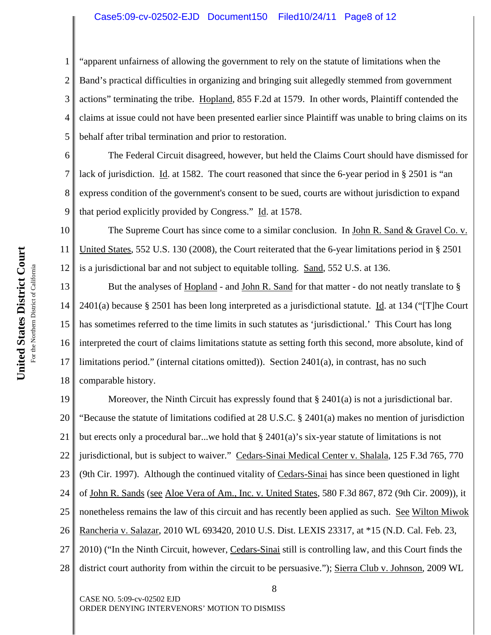### Case5:09-cv-02502-EJD Document150 Filed10/24/11 Page8 of 12

1 2 3 4 5 "apparent unfairness of allowing the government to rely on the statute of limitations when the Band's practical difficulties in organizing and bringing suit allegedly stemmed from government actions" terminating the tribe. Hopland, 855 F.2d at 1579. In other words, Plaintiff contended the claims at issue could not have been presented earlier since Plaintiff was unable to bring claims on its behalf after tribal termination and prior to restoration.

6 8 9 The Federal Circuit disagreed, however, but held the Claims Court should have dismissed for lack of jurisdiction. Id. at 1582. The court reasoned that since the 6-year period in § 2501 is "an express condition of the government's consent to be sued, courts are without jurisdiction to expand that period explicitly provided by Congress." Id. at 1578.

10 11 12 The Supreme Court has since come to a similar conclusion. In John R. Sand & Gravel Co. v. United States, 552 U.S. 130 (2008), the Court reiterated that the 6-year limitations period in § 2501 is a jurisdictional bar and not subject to equitable tolling. Sand, 552 U.S. at 136.

13 14 15 16 17 18 But the analyses of Hopland - and John R. Sand for that matter - do not neatly translate to § 2401(a) because § 2501 has been long interpreted as a jurisdictional statute. Id. at 134 ("The Court" has sometimes referred to the time limits in such statutes as 'jurisdictional.' This Court has long interpreted the court of claims limitations statute as setting forth this second, more absolute, kind of limitations period." (internal citations omitted)). Section  $2401(a)$ , in contrast, has no such comparable history.

19 20 21 22 23 24 25 26 27 28 Moreover, the Ninth Circuit has expressly found that § 2401(a) is not a jurisdictional bar. "Because the statute of limitations codified at 28 U.S.C. § 2401(a) makes no mention of jurisdiction but erects only a procedural bar...we hold that  $\S$  2401(a)'s six-year statute of limitations is not jurisdictional, but is subject to waiver." Cedars-Sinai Medical Center v. Shalala, 125 F.3d 765, 770 (9th Cir. 1997). Although the continued vitality of Cedars-Sinai has since been questioned in light of John R. Sands (see Aloe Vera of Am., Inc. v. United States, 580 F.3d 867, 872 (9th Cir. 2009)), it nonetheless remains the law of this circuit and has recently been applied as such. See Wilton Miwok Rancheria v. Salazar, 2010 WL 693420, 2010 U.S. Dist. LEXIS 23317, at \*15 (N.D. Cal. Feb. 23, 2010) ("In the Ninth Circuit, however, Cedars-Sinai still is controlling law, and this Court finds the district court authority from within the circuit to be persuasive."); Sierra Club v. Johnson, 2009 WL

8

CASE NO. 5:09-cv-02502 EJD ORDER DENYING INTERVENORS' MOTION TO DISMISS

7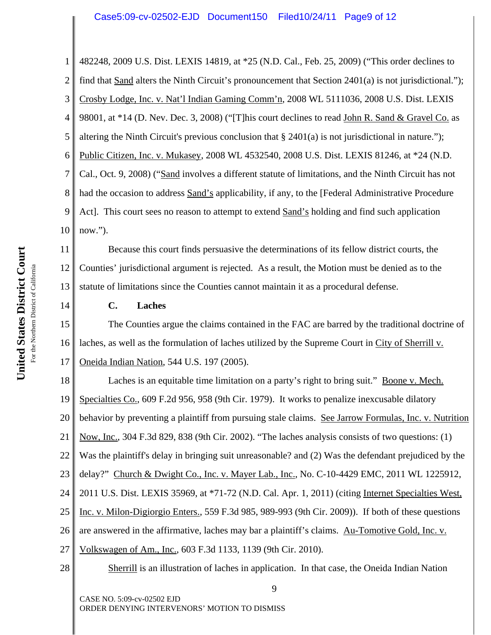1 2 3 4 5 6 7 8 9 10 482248, 2009 U.S. Dist. LEXIS 14819, at \*25 (N.D. Cal., Feb. 25, 2009) ("This order declines to find that Sand alters the Ninth Circuit's pronouncement that Section 2401(a) is not jurisdictional."); Crosby Lodge, Inc. v. Nat'l Indian Gaming Comm'n, 2008 WL 5111036, 2008 U.S. Dist. LEXIS 98001, at \*14 (D. Nev. Dec. 3, 2008) ("[T]his court declines to read John R. Sand & Gravel Co. as altering the Ninth Circuit's previous conclusion that  $\S 2401(a)$  is not jurisdictional in nature."); Public Citizen, Inc. v. Mukasey, 2008 WL 4532540, 2008 U.S. Dist. LEXIS 81246, at \*24 (N.D. Cal., Oct. 9, 2008) ("Sand involves a different statute of limitations, and the Ninth Circuit has not had the occasion to address Sand's applicability, if any, to the [Federal Administrative Procedure Act]. This court sees no reason to attempt to extend Sand's holding and find such application now.").

11 12 13 Because this court finds persuasive the determinations of its fellow district courts, the Counties' jurisdictional argument is rejected. As a result, the Motion must be denied as to the statute of limitations since the Counties cannot maintain it as a procedural defense.

14

## **C. Laches**

15 16 17 The Counties argue the claims contained in the FAC are barred by the traditional doctrine of laches, as well as the formulation of laches utilized by the Supreme Court in City of Sherrill v. Oneida Indian Nation, 544 U.S. 197 (2005).

18 19 20 21 26 27 28 Laches is an equitable time limitation on a party's right to bring suit." Boone v. Mech. Specialties Co., 609 F.2d 956, 958 (9th Cir. 1979). It works to penalize inexcusable dilatory behavior by preventing a plaintiff from pursuing stale claims. See Jarrow Formulas, Inc. v. Nutrition Now, Inc., 304 F.3d 829, 838 (9th Cir. 2002). "The laches analysis consists of two questions: (1) Was the plaintiff's delay in bringing suit unreasonable? and (2) Was the defendant prejudiced by the delay?" Church & Dwight Co., Inc. v. Mayer Lab., Inc., No. C-10-4429 EMC, 2011 WL 1225912, 2011 U.S. Dist. LEXIS 35969, at \*71-72 (N.D. Cal. Apr. 1, 2011) (citing Internet Specialties West, Inc. v. Milon-Digiorgio Enters., 559 F.3d 985, 989-993 (9th Cir. 2009)). If both of these questions are answered in the affirmative, laches may bar a plaintiff's claims. Au-Tomotive Gold, Inc. v. Volkswagen of Am., Inc., 603 F.3d 1133, 1139 (9th Cir. 2010).

Sherrill is an illustration of laches in application. In that case, the Oneida Indian Nation

9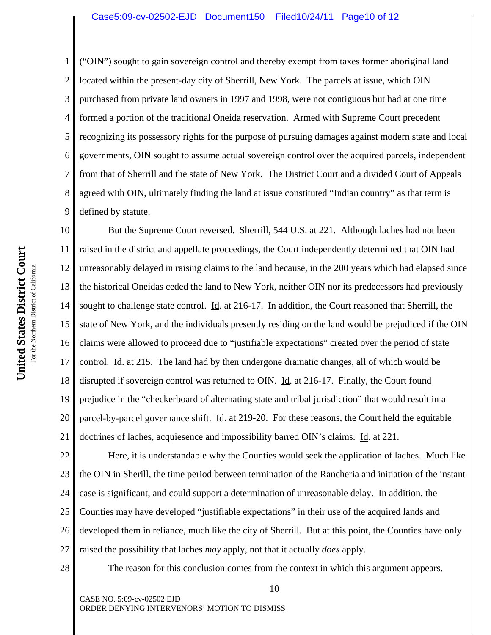("OIN") sought to gain sovereign control and thereby exempt from taxes former aboriginal land located within the present-day city of Sherrill, New York. The parcels at issue, which OIN purchased from private land owners in 1997 and 1998, were not contiguous but had at one time formed a portion of the traditional Oneida reservation. Armed with Supreme Court precedent recognizing its possessory rights for the purpose of pursuing damages against modern state and local governments, OIN sought to assume actual sovereign control over the acquired parcels, independent from that of Sherrill and the state of New York. The District Court and a divided Court of Appeals agreed with OIN, ultimately finding the land at issue constituted "Indian country" as that term is defined by statute.

10 11 12 13 14 15 16 17 18 19 20 21 But the Supreme Court reversed. Sherrill, 544 U.S. at 221. Although laches had not been raised in the district and appellate proceedings, the Court independently determined that OIN had unreasonably delayed in raising claims to the land because, in the 200 years which had elapsed since the historical Oneidas ceded the land to New York, neither OIN nor its predecessors had previously sought to challenge state control. Id. at 216-17. In addition, the Court reasoned that Sherrill, the state of New York, and the individuals presently residing on the land would be prejudiced if the OIN claims were allowed to proceed due to "justifiable expectations" created over the period of state control. Id. at 215. The land had by then undergone dramatic changes, all of which would be disrupted if sovereign control was returned to OIN. Id. at 216-17. Finally, the Court found prejudice in the "checkerboard of alternating state and tribal jurisdiction" that would result in a parcel-by-parcel governance shift. Id. at 219-20. For these reasons, the Court held the equitable doctrines of laches, acquiesence and impossibility barred OIN's claims. Id. at 221.

22 23 24 25 26 27 Here, it is understandable why the Counties would seek the application of laches. Much like the OIN in Sherill, the time period between termination of the Rancheria and initiation of the instant case is significant, and could support a determination of unreasonable delay. In addition, the Counties may have developed "justifiable expectations" in their use of the acquired lands and developed them in reliance, much like the city of Sherrill. But at this point, the Counties have only raised the possibility that laches *may* apply, not that it actually *does* apply.

28

The reason for this conclusion comes from the context in which this argument appears.

10

CASE NO. 5:09-cv-02502 EJD ORDER DENYING INTERVENORS' MOTION TO DISMISS

1

2

3

4

5

6

7

8

9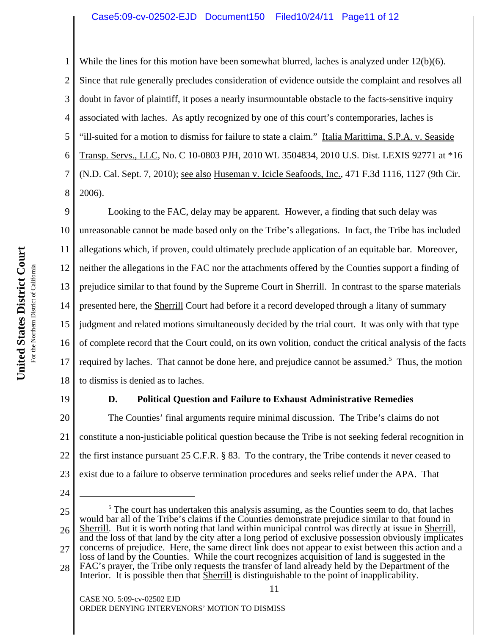2 3 4 5 6 7 8 While the lines for this motion have been somewhat blurred, laches is analyzed under  $12(b)(6)$ . Since that rule generally precludes consideration of evidence outside the complaint and resolves all doubt in favor of plaintiff, it poses a nearly insurmountable obstacle to the facts-sensitive inquiry associated with laches. As aptly recognized by one of this court's contemporaries, laches is "ill-suited for a motion to dismiss for failure to state a claim." Italia Marittima, S.P.A. v. Seaside Transp. Servs., LLC, No. C 10-0803 PJH, 2010 WL 3504834, 2010 U.S. Dist. LEXIS 92771 at \*16 (N.D. Cal. Sept. 7, 2010); see also Huseman v. Icicle Seafoods, Inc., 471 F.3d 1116, 1127 (9th Cir. 2006).

9 10 11 12 13 14 15 16 17 18 Looking to the FAC, delay may be apparent. However, a finding that such delay was unreasonable cannot be made based only on the Tribe's allegations. In fact, the Tribe has included allegations which, if proven, could ultimately preclude application of an equitable bar. Moreover, neither the allegations in the FAC nor the attachments offered by the Counties support a finding of prejudice similar to that found by the Supreme Court in Sherrill. In contrast to the sparse materials presented here, the Sherrill Court had before it a record developed through a litany of summary judgment and related motions simultaneously decided by the trial court. It was only with that type of complete record that the Court could, on its own volition, conduct the critical analysis of the facts required by laches. That cannot be done here, and prejudice cannot be assumed.<sup>5</sup> Thus, the motion to dismiss is denied as to laches.

19

1

#### **D. Political Question and Failure to Exhaust Administrative Remedies**

20 21 22 23 The Counties' final arguments require minimal discussion. The Tribe's claims do not constitute a non-justiciable political question because the Tribe is not seeking federal recognition in the first instance pursuant 25 C.F.R. § 83. To the contrary, the Tribe contends it never ceased to exist due to a failure to observe termination procedures and seeks relief under the APA. That

- 24
- 25

26 27 28 <sup>5</sup> The court has undertaken this analysis assuming, as the Counties seem to do, that laches would bar all of the Tribe's claims if the Counties demonstrate prejudice similar to that found in<br>Sherrill. But it is worth noting that land within municipal control was directly at issue in Sherrill, and the loss of that land by the city after a long period of exclusive possession obviously implicates concerns of prejudice. Here, the same direct link does not appear to exist between this action and a loss of land by the Counties. While the court recognizes acquisition of land is suggested in the FAC's prayer, the Tribe only requests the transfer of land already held by the Department of the Interior. It is possible then that Sherrill is distinguishable to the point of inapplicability.

11